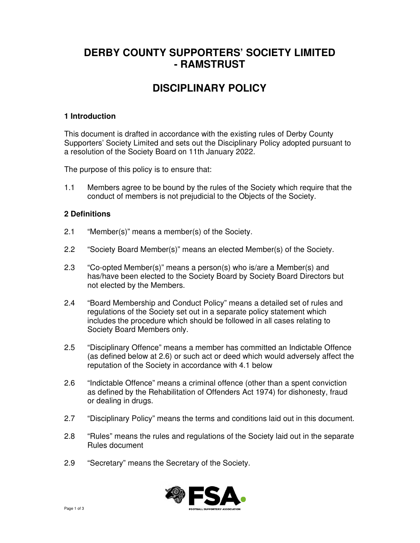# **DERBY COUNTY SUPPORTERS' SOCIETY LIMITED - RAMSTRUST**

# **DISCIPLINARY POLICY**

### **1 Introduction**

This document is drafted in accordance with the existing rules of Derby County Supporters' Society Limited and sets out the Disciplinary Policy adopted pursuant to a resolution of the Society Board on 11th January 2022.

The purpose of this policy is to ensure that:

1.1 Members agree to be bound by the rules of the Society which require that the conduct of members is not prejudicial to the Objects of the Society.

### **2 Definitions**

- 2.1 "Member(s)" means a member(s) of the Society.
- 2.2 "Society Board Member(s)" means an elected Member(s) of the Society.
- 2.3 "Co-opted Member(s)" means a person(s) who is/are a Member(s) and has/have been elected to the Society Board by Society Board Directors but not elected by the Members.
- 2.4 "Board Membership and Conduct Policy" means a detailed set of rules and regulations of the Society set out in a separate policy statement which includes the procedure which should be followed in all cases relating to Society Board Members only.
- 2.5 "Disciplinary Offence" means a member has committed an Indictable Offence (as defined below at 2.6) or such act or deed which would adversely affect the reputation of the Society in accordance with 4.1 below
- 2.6 "Indictable Offence" means a criminal offence (other than a spent conviction as defined by the Rehabilitation of Offenders Act 1974) for dishonesty, fraud or dealing in drugs.
- 2.7 "Disciplinary Policy" means the terms and conditions laid out in this document.
- 2.8 "Rules" means the rules and regulations of the Society laid out in the separate Rules document
- 2.9 "Secretary" means the Secretary of the Society.

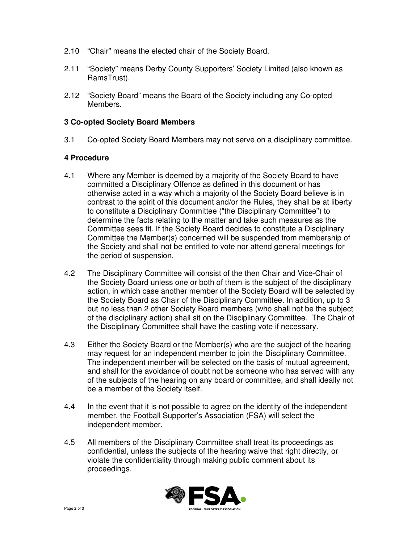- 2.10 "Chair" means the elected chair of the Society Board.
- 2.11 "Society" means Derby County Supporters' Society Limited (also known as RamsTrust).
- 2.12 "Society Board" means the Board of the Society including any Co-opted Members.

#### **3 Co-opted Society Board Members**

3.1 Co-opted Society Board Members may not serve on a disciplinary committee.

#### **4 Procedure**

- 4.1 Where any Member is deemed by a majority of the Society Board to have committed a Disciplinary Offence as defined in this document or has otherwise acted in a way which a majority of the Society Board believe is in contrast to the spirit of this document and/or the Rules, they shall be at liberty to constitute a Disciplinary Committee ("the Disciplinary Committee") to determine the facts relating to the matter and take such measures as the Committee sees fit. If the Society Board decides to constitute a Disciplinary Committee the Member(s) concerned will be suspended from membership of the Society and shall not be entitled to vote nor attend general meetings for the period of suspension.
- 4.2 The Disciplinary Committee will consist of the then Chair and Vice-Chair of the Society Board unless one or both of them is the subject of the disciplinary action, in which case another member of the Society Board will be selected by the Society Board as Chair of the Disciplinary Committee. In addition, up to 3 but no less than 2 other Society Board members (who shall not be the subject of the disciplinary action) shall sit on the Disciplinary Committee. The Chair of the Disciplinary Committee shall have the casting vote if necessary.
- 4.3 Either the Society Board or the Member(s) who are the subject of the hearing may request for an independent member to join the Disciplinary Committee. The independent member will be selected on the basis of mutual agreement, and shall for the avoidance of doubt not be someone who has served with any of the subjects of the hearing on any board or committee, and shall ideally not be a member of the Society itself.
- 4.4 In the event that it is not possible to agree on the identity of the independent member, the Football Supporter's Association (FSA) will select the independent member.
- 4.5 All members of the Disciplinary Committee shall treat its proceedings as confidential, unless the subjects of the hearing waive that right directly, or violate the confidentiality through making public comment about its proceedings.